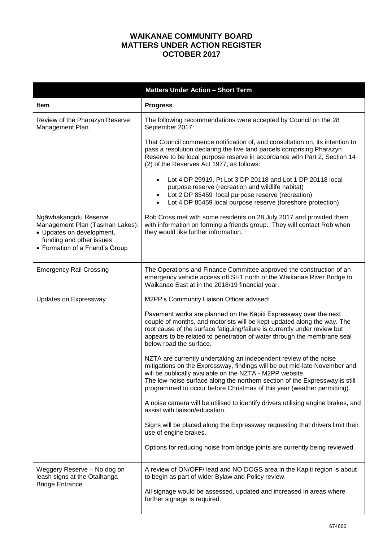## **WAIKANAE COMMUNITY BOARD MATTERS UNDER ACTION REGISTER OCTOBER 2017**

|                                                                                                                                                      | <b>Matters Under Action - Short Term</b>                                                                                                                                                                                                                                                                                                                             |
|------------------------------------------------------------------------------------------------------------------------------------------------------|----------------------------------------------------------------------------------------------------------------------------------------------------------------------------------------------------------------------------------------------------------------------------------------------------------------------------------------------------------------------|
| <b>Item</b>                                                                                                                                          | <b>Progress</b>                                                                                                                                                                                                                                                                                                                                                      |
| Review of the Pharazyn Reserve<br>Management Plan.                                                                                                   | The following recommendations were accepted by Council on the 28<br>September 2017:                                                                                                                                                                                                                                                                                  |
|                                                                                                                                                      | That Council commence notification of, and consultation on, its intention to<br>pass a resolution declaring the five land parcels comprising Pharazyn<br>Reserve to be local purpose reserve in accordance with Part 2, Section 14<br>(2) of the Reserves Act 1977, as follows:                                                                                      |
|                                                                                                                                                      | Lot 4 DP 29919, Pt Lot 3 DP 20118 and Lot 1 DP 20118 local<br>purpose reserve (recreation and wildlife habitat)<br>Lot 2 DP 85459 local purpose reserve (recreation)<br>Lot 4 DP 85459 local purpose reserve (foreshore protection).                                                                                                                                 |
| Ngāwhakangutu Reserve<br>Management Plan (Tasman Lakes):<br>• Updates on development,<br>funding and other issues<br>• Formation of a Friend's Group | Rob Cross met with some residents on 28 July 2017 and provided them<br>with information on forming a friends group. They will contact Rob when<br>they would like further information.                                                                                                                                                                               |
| <b>Emergency Rail Crossing</b>                                                                                                                       | The Operations and Finance Committee approved the construction of an<br>emergency vehicle access off SH1 north of the Waikanae River Bridge to<br>Waikanae East at in the 2018/19 financial year.                                                                                                                                                                    |
| Updates on Expressway                                                                                                                                | M2PP's Community Liaison Officer advised:                                                                                                                                                                                                                                                                                                                            |
|                                                                                                                                                      | Pavement works are planned on the Kāpiti Expressway over the next<br>couple of months, and motorists will be kept updated along the way. The<br>root cause of the surface fatiguing/failure is currently under review but<br>appears to be related to penetration of water through the membrane seal<br>below road the surface.                                      |
|                                                                                                                                                      | NZTA are currently undertaking an independent review of the noise<br>mitigations on the Expressway, findings will be out mid-late November and<br>will be publically available on the NZTA - M2PP website.<br>The low-noise surface along the northern section of the Expressway is still<br>programmed to occur before Christmas of this year (weather permitting). |
|                                                                                                                                                      | A noise camera will be utilised to identify drivers utilising engine brakes, and<br>assist with liaison/education.                                                                                                                                                                                                                                                   |
|                                                                                                                                                      | Signs will be placed along the Expressway requesting that drivers limit their<br>use of engine brakes.                                                                                                                                                                                                                                                               |
|                                                                                                                                                      | Options for reducing noise from bridge joints are currently being reviewed.                                                                                                                                                                                                                                                                                          |
| Weggery Reserve - No dog on<br>leash signs at the Otaihanga<br><b>Bridge Entrance</b>                                                                | A review of ON/OFF/ lead and NO DOGS area in the Kapiti region is about<br>to begin as part of wider Bylaw and Policy review.                                                                                                                                                                                                                                        |
|                                                                                                                                                      | All signage would be assessed, updated and increased in areas where<br>further signage is required.                                                                                                                                                                                                                                                                  |